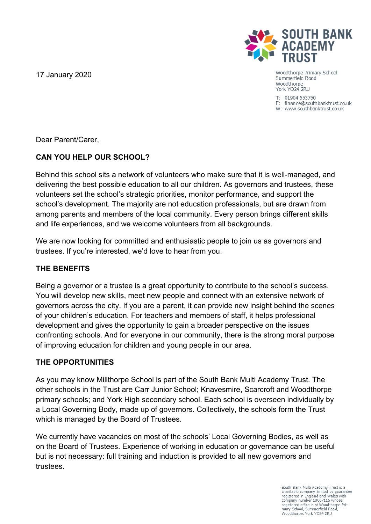17 January 2020



Woodthorpe Primary School Summerfield Road Woodthorpe York YO24 2RU

T: 01904 553760 E: finance@southbanktrust.co.uk W: www.southbanktrust.co.uk

Dear Parent/Carer,

# **CAN YOU HELP OUR SCHOOL?**

Behind this school sits a network of volunteers who make sure that it is well-managed, and delivering the best possible education to all our children. As governors and trustees, these volunteers set the school's strategic priorities, monitor performance, and support the school's development. The majority are not education professionals, but are drawn from among parents and members of the local community. Every person brings different skills and life experiences, and we welcome volunteers from all backgrounds.

We are now looking for committed and enthusiastic people to join us as governors and trustees. If you're interested, we'd love to hear from you.

## **THE BENEFITS**

Being a governor or a trustee is a great opportunity to contribute to the school's success. You will develop new skills, meet new people and connect with an extensive network of governors across the city. If you are a parent, it can provide new insight behind the scenes of your children's education. For teachers and members of staff, it helps professional development and gives the opportunity to gain a broader perspective on the issues confronting schools. And for everyone in our community, there is the strong moral purpose of improving education for children and young people in our area.

## **THE OPPORTUNITIES**

As you may know Millthorpe School is part of the South Bank Multi Academy Trust. The other schools in the Trust are Carr Junior School; Knavesmire, Scarcroft and Woodthorpe primary schools; and York High secondary school. Each school is overseen individually by a Local Governing Body, made up of governors. Collectively, the schools form the Trust which is managed by the Board of Trustees.

We currently have vacancies on most of the schools' Local Governing Bodies, as well as on the Board of Trustees. Experience of working in education or governance can be useful but is not necessary: full training and induction is provided to all new governors and trustees.

> South Bank Multi Academy Trust is a charitable company limited by quarantee registered in England and Wales with company number 10067116 whose registered office is at Woodthorpe Primary School, Summerfield Road, Woodthorpe, York YO24 2RU